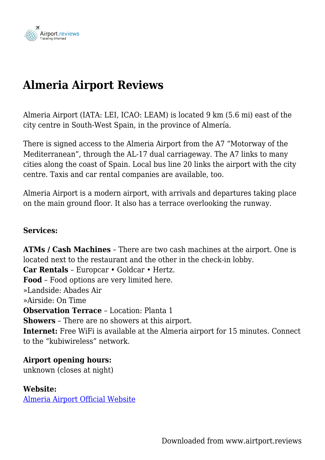

# **Almeria Airport Reviews**

Almeria Airport (IATA: LEI, ICAO: LEAM) is located 9 km (5.6 mi) east of the city centre in South-West Spain, in the province of Almería.

There is signed access to the Almeria Airport from the A7 "Motorway of the Mediterranean", through the AL-17 dual carriageway. The A7 links to many cities along the coast of Spain. Local bus line 20 links the airport with the city centre. Taxis and car rental companies are available, too.

Almeria Airport is a modern airport, with arrivals and departures taking place on the main ground floor. It also has a terrace overlooking the runway.

#### **Services:**

**ATMs / Cash Machines** – There are two cash machines at the airport. One is located next to the restaurant and the other in the check-in lobby. **Car Rentals** – Europcar • Goldcar • Hertz. **Food** – Food options are very limited here. »Landside: Abades Air »Airside: On Time **Observation Terrace** – Location: Planta 1 **Showers** – There are no showers at this airport. **Internet:** Free WiFi is available at the Almeria airport for 15 minutes. Connect to the "kubiwireless" network.

### **Airport opening hours:**

unknown (closes at night)

### **Website:**

[Almeria Airport Official Website](http://www.aena-aeropuertos.es/almeria/en)